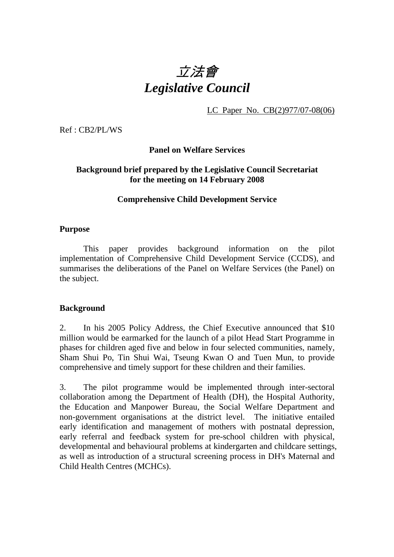# 立法會 *Legislative Council*

LC Paper No. CB(2)977/07-08(06)

Ref : CB2/PL/WS

**Panel on Welfare Services** 

## **Background brief prepared by the Legislative Council Secretariat for the meeting on 14 February 2008**

#### **Comprehensive Child Development Service**

#### **Purpose**

This paper provides background information on the pilot implementation of Comprehensive Child Development Service (CCDS), and summarises the deliberations of the Panel on Welfare Services (the Panel) on the subject.

## **Background**

2. In his 2005 Policy Address, the Chief Executive announced that \$10 million would be earmarked for the launch of a pilot Head Start Programme in phases for children aged five and below in four selected communities, namely, Sham Shui Po, Tin Shui Wai, Tseung Kwan O and Tuen Mun, to provide comprehensive and timely support for these children and their families.

3. The pilot programme would be implemented through inter-sectoral collaboration among the Department of Health (DH), the Hospital Authority, the Education and Manpower Bureau, the Social Welfare Department and non-government organisations at the district level. The initiative entailed early identification and management of mothers with postnatal depression, early referral and feedback system for pre-school children with physical, developmental and behavioural problems at kindergarten and childcare settings, as well as introduction of a structural screening process in DH's Maternal and Child Health Centres (MCHCs).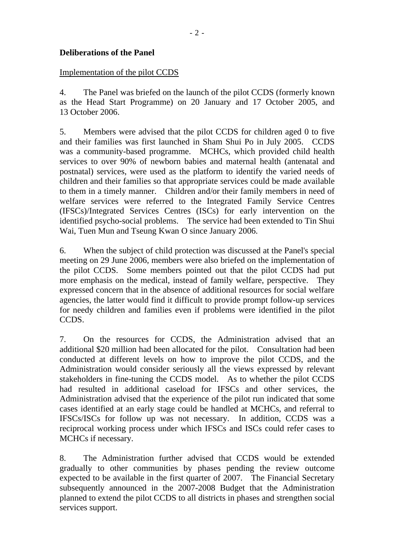## **Deliberations of the Panel**

#### Implementation of the pilot CCDS

4. The Panel was briefed on the launch of the pilot CCDS (formerly known as the Head Start Programme) on 20 January and 17 October 2005, and 13 October 2006.

5. Members were advised that the pilot CCDS for children aged 0 to five and their families was first launched in Sham Shui Po in July 2005. CCDS was a community-based programme. MCHCs, which provided child health services to over 90% of newborn babies and maternal health (antenatal and postnatal) services, were used as the platform to identify the varied needs of children and their families so that appropriate services could be made available to them in a timely manner. Children and/or their family members in need of welfare services were referred to the Integrated Family Service Centres (IFSCs)/Integrated Services Centres (ISCs) for early intervention on the identified psycho-social problems. The service had been extended to Tin Shui Wai, Tuen Mun and Tseung Kwan O since January 2006.

6. When the subject of child protection was discussed at the Panel's special meeting on 29 June 2006, members were also briefed on the implementation of the pilot CCDS. Some members pointed out that the pilot CCDS had put more emphasis on the medical, instead of family welfare, perspective. They expressed concern that in the absence of additional resources for social welfare agencies, the latter would find it difficult to provide prompt follow-up services for needy children and families even if problems were identified in the pilot CCDS.

7. On the resources for CCDS, the Administration advised that an additional \$20 million had been allocated for the pilot. Consultation had been conducted at different levels on how to improve the pilot CCDS, and the Administration would consider seriously all the views expressed by relevant stakeholders in fine-tuning the CCDS model. As to whether the pilot CCDS had resulted in additional caseload for IFSCs and other services, the Administration advised that the experience of the pilot run indicated that some cases identified at an early stage could be handled at MCHCs, and referral to IFSCs/ISCs for follow up was not necessary. In addition, CCDS was a reciprocal working process under which IFSCs and ISCs could refer cases to MCHCs if necessary.

8. The Administration further advised that CCDS would be extended gradually to other communities by phases pending the review outcome expected to be available in the first quarter of 2007. The Financial Secretary subsequently announced in the 2007-2008 Budget that the Administration planned to extend the pilot CCDS to all districts in phases and strengthen social services support.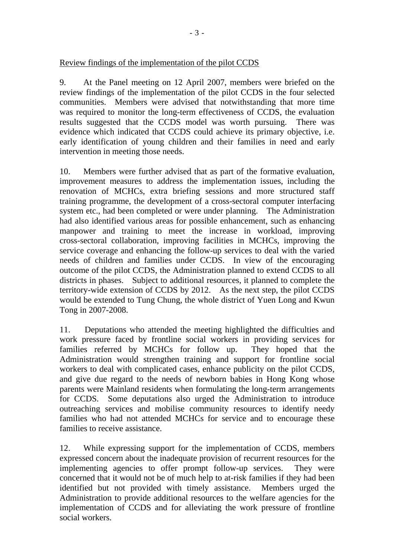Review findings of the implementation of the pilot CCDS

9. At the Panel meeting on 12 April 2007, members were briefed on the review findings of the implementation of the pilot CCDS in the four selected communities. Members were advised that notwithstanding that more time was required to monitor the long-term effectiveness of CCDS, the evaluation results suggested that the CCDS model was worth pursuing. There was evidence which indicated that CCDS could achieve its primary objective, i.e. early identification of young children and their families in need and early intervention in meeting those needs.

10. Members were further advised that as part of the formative evaluation, improvement measures to address the implementation issues, including the renovation of MCHCs, extra briefing sessions and more structured staff training programme, the development of a cross-sectoral computer interfacing system etc., had been completed or were under planning. The Administration had also identified various areas for possible enhancement, such as enhancing manpower and training to meet the increase in workload, improving cross-sectoral collaboration, improving facilities in MCHCs, improving the service coverage and enhancing the follow-up services to deal with the varied needs of children and families under CCDS. In view of the encouraging outcome of the pilot CCDS, the Administration planned to extend CCDS to all districts in phases. Subject to additional resources, it planned to complete the territory-wide extension of CCDS by 2012. As the next step, the pilot CCDS would be extended to Tung Chung, the whole district of Yuen Long and Kwun Tong in 2007-2008.

11. Deputations who attended the meeting highlighted the difficulties and work pressure faced by frontline social workers in providing services for families referred by MCHCs for follow up. They hoped that the Administration would strengthen training and support for frontline social workers to deal with complicated cases, enhance publicity on the pilot CCDS, and give due regard to the needs of newborn babies in Hong Kong whose parents were Mainland residents when formulating the long-term arrangements for CCDS. Some deputations also urged the Administration to introduce outreaching services and mobilise community resources to identify needy families who had not attended MCHCs for service and to encourage these families to receive assistance.

12. While expressing support for the implementation of CCDS, members expressed concern about the inadequate provision of recurrent resources for the implementing agencies to offer prompt follow-up services. They were concerned that it would not be of much help to at-risk families if they had been identified but not provided with timely assistance. Members urged the Administration to provide additional resources to the welfare agencies for the implementation of CCDS and for alleviating the work pressure of frontline social workers.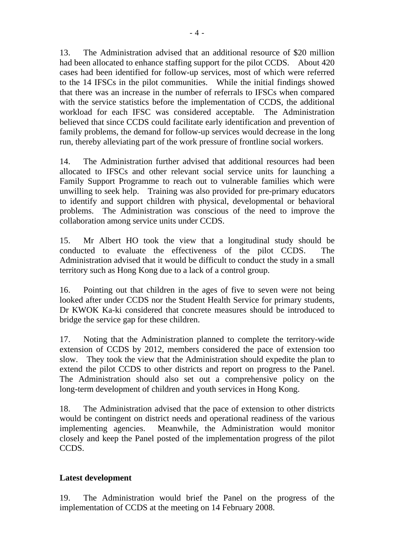13. The Administration advised that an additional resource of \$20 million had been allocated to enhance staffing support for the pilot CCDS. About 420 cases had been identified for follow-up services, most of which were referred to the 14 IFSCs in the pilot communities. While the initial findings showed that there was an increase in the number of referrals to IFSCs when compared with the service statistics before the implementation of CCDS, the additional workload for each IFSC was considered acceptable. The Administration believed that since CCDS could facilitate early identification and prevention of family problems, the demand for follow-up services would decrease in the long run, thereby alleviating part of the work pressure of frontline social workers.

14. The Administration further advised that additional resources had been allocated to IFSCs and other relevant social service units for launching a Family Support Programme to reach out to vulnerable families which were unwilling to seek help. Training was also provided for pre-primary educators to identify and support children with physical, developmental or behavioral problems. The Administration was conscious of the need to improve the collaboration among service units under CCDS.

15. Mr Albert HO took the view that a longitudinal study should be conducted to evaluate the effectiveness of the pilot CCDS. The Administration advised that it would be difficult to conduct the study in a small territory such as Hong Kong due to a lack of a control group.

16. Pointing out that children in the ages of five to seven were not being looked after under CCDS nor the Student Health Service for primary students, Dr KWOK Ka-ki considered that concrete measures should be introduced to bridge the service gap for these children.

17. Noting that the Administration planned to complete the territory-wide extension of CCDS by 2012, members considered the pace of extension too slow. They took the view that the Administration should expedite the plan to extend the pilot CCDS to other districts and report on progress to the Panel. The Administration should also set out a comprehensive policy on the long-term development of children and youth services in Hong Kong.

18. The Administration advised that the pace of extension to other districts would be contingent on district needs and operational readiness of the various implementing agencies. Meanwhile, the Administration would monitor closely and keep the Panel posted of the implementation progress of the pilot CCDS.

## **Latest development**

19. The Administration would brief the Panel on the progress of the implementation of CCDS at the meeting on 14 February 2008.